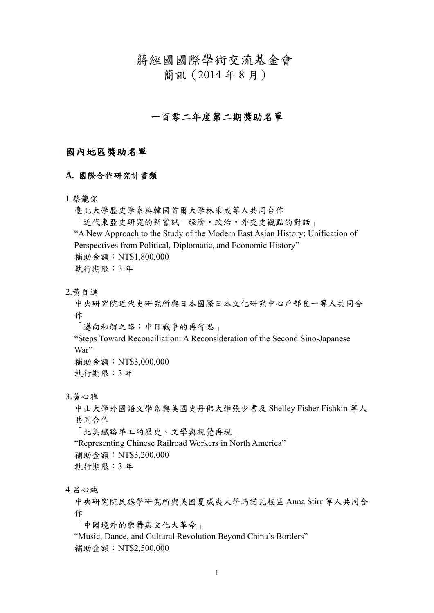蔣經國國際學術交流基金會

簡訊(2014 年 8 月)

# 一百零二年度第二期獎助名單

### 國內地區獎助名單

#### **A.** 國際合作研究計畫類

1.蔡龍保

臺北大學歷史學系與韓國首爾大學林采成等人共同合作 「近代東亞史研究的新嘗試-經濟•政治•外交史觀點的對話」 "A New Approach to the Study of the Modern East Asian History: Unification of Perspectives from Political, Diplomatic, and Economic History" 補助金額:NT\$1,800,000 執行期限:3 年

2.黃自進

中央研究院近代史研究所與日本國際日本文化研究中心戶部良一等人共同合 作

「邁向和解之路:中日戰爭的再省思」

"Steps Toward Reconciliation: A Reconsideration of the Second Sino-Japanese War"

補助金額:NT\$3,000,000 執行期限:3 年

3.黃心雅

中山大學外國語文學系與美國史丹佛大學張少書及 Shelley Fisher Fishkin 等人 共同合作 「北美鐵路華工的歷史、文學與視覺再現」 "Representing Chinese Railroad Workers in North America" 補助金額:NT\$3,200,000

- 執行期限:3 年
- 4.呂心純

中央研究院民族學研究所與美國夏威夷大學馬諾瓦校區 Anna Stirr 等人共同合 作

「中國境外的樂舞與文化大革命」

"Music, Dance, and Cultural Revolution Beyond China's Borders" 補助金額:NT\$2,500,000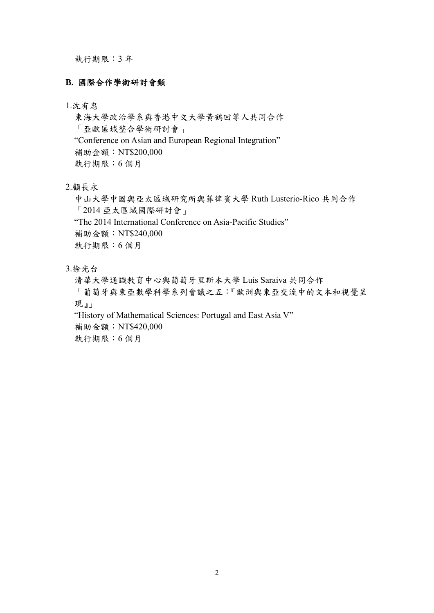執行期限:3 年

#### **B.** 國際合作學術研討會類

1.沈有忠

東海大學政治學系與香港中文大學黃鶴回等人共同合作 「亞歐區域整合學術研討會」 "Conference on Asian and European Regional Integration" 補助金額:NT\$200,000 執行期限:6 個月

2.顧長永

中山大學中國與亞太區域研究所與菲律賓大學 Ruth Lusterio-Rico 共同合作 「2014 亞太區域國際研討會」 "The 2014 International Conference on Asia-Pacific Studies" 補助金額:NT\$240,000 執行期限:6 個月

3.徐光台

清華大學通識教育中心與葡萄牙里斯本大學 Luis Saraiva 共同合作 「葡萄牙與東亞數學科學系列會議之五:『歐洲與東亞交流中的文本和視覺呈 現』」 "History of Mathematical Sciences: Portugal and East Asia V" 補助金額:NT\$420,000 執行期限:6 個月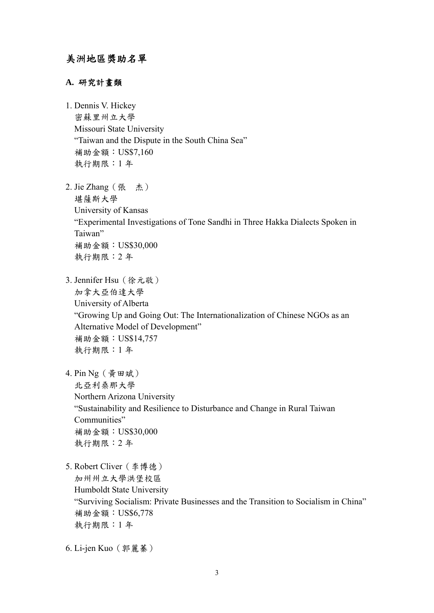### **A.** 研究計畫類

- 1. Dennis V. Hickey 密蘇里州立大學 Missouri State University "Taiwan and the Dispute in the South China Sea" 補助金額:US\$7,160 執行期限:1 年
- 2. Jie Zhang(張 杰) 堪薩斯大學 University of Kansas "Experimental Investigations of Tone Sandhi in Three Hakka Dialects Spoken in Taiwan" 補助金額:US\$30,000 執行期限:2 年
- 3. Jennifer Hsu(徐元敬)

加拿大亞伯達大學 University of Alberta "Growing Up and Going Out: The Internationalization of Chinese NGOs as an Alternative Model of Development" 補助金額:US\$14,757 執行期限:1 年

4. Pin Ng(黃田斌)

北亞利桑那大學 Northern Arizona University "Sustainability and Resilience to Disturbance and Change in Rural Taiwan Communities" 補助金額:US\$30,000 執行期限:2 年

- 5. Robert Cliver(李博德) 加州州立大學洪堡校區 Humboldt State University "Surviving Socialism: Private Businesses and the Transition to Socialism in China" 補助金額:US\$6,778 執行期限:1 年
- 6. Li-jen Kuo(郭麗蓁)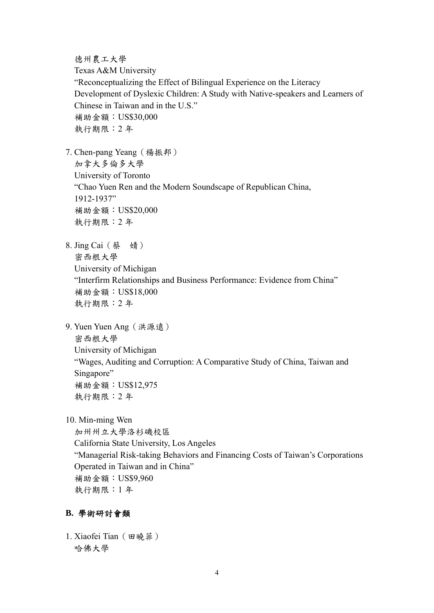德州農工大學

Texas A&M University "Reconceptualizing the Effect of Bilingual Experience on the Literacy Development of Dyslexic Children: A Study with Native-speakers and Learners of Chinese in Taiwan and in the U.S." 補助金額:US\$30,000 執行期限:2 年

7. Chen-pang Yeang(楊振邦) 加拿大多倫多大學 University of Toronto "Chao Yuen Ren and the Modern Soundscape of Republican China, 1912-1937" 補助金額:US\$20,000 執行期限:2 年

8. Jing Cai(蔡 婧) 密西根大學 University of Michigan "Interfirm Relationships and Business Performance: Evidence from China" 補助金額:US\$18,000 執行期限:2 年

- 9. Yuen Yuen Ang(洪源遠) 密西根大學 University of Michigan "Wages, Auditing and Corruption: A Comparative Study of China, Taiwan and Singapore" 補助金額:US\$12,975 執行期限:2 年
- 10. Min-ming Wen

加州州立大學洛杉磯校區 California State University, Los Angeles "Managerial Risk-taking Behaviors and Financing Costs of Taiwan's Corporations Operated in Taiwan and in China" 補助金額:US\$9,960 執行期限:1 年

## **B.** 學術研討會類

1. Xiaofei Tian (田曉菲) 哈佛大學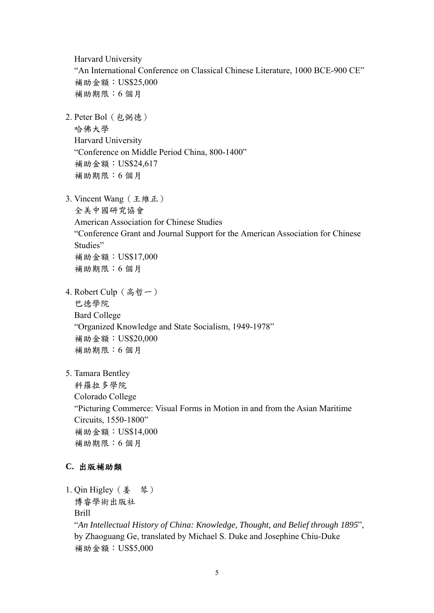Harvard University "An International Conference on Classical Chinese Literature, 1000 BCE-900 CE" 補助金額:US\$25,000 補助期限:6 個月

2. Peter Bol(包弼德)

哈佛大學 Harvard University "Conference on Middle Period China, 800-1400" 補助金額:US\$24,617 補助期限:6 個月

3. Vincent Wang(王維正)

全美中國研究協會 American Association for Chinese Studies "Conference Grant and Journal Support for the American Association for Chinese Studies" 補助金額:US\$17,000 補助期限:6 個月

- 4. Robert Culp(高哲一) 巴德學院 Bard College "Organized Knowledge and State Socialism, 1949-1978" 補助金額:US\$20,000 補助期限:6 個月
- 5. Tamara Bentley

科羅拉多學院 Colorado College "Picturing Commerce: Visual Forms in Motion in and from the Asian Maritime Circuits, 1550-1800" 補助金額:US\$14,000 補助期限:6 個月

## **C.** 出版補助類

1. Qin Higley(姜 琴) 博睿學術出版社 Brill

"*An Intellectual History of China: Knowledge, Thought, and Belief through 1895*", by Zhaoguang Ge, translated by Michael S. Duke and Josephine Chiu-Duke 補助金額:US\$5,000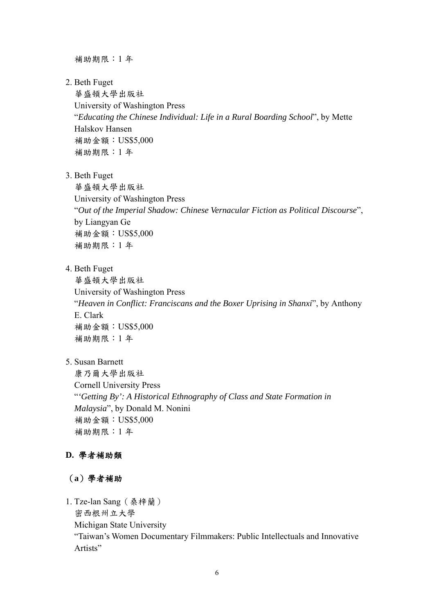補助期限:1 年

2. Beth Fuget

華盛頓大學出版社 University of Washington Press "*Educating the Chinese Individual: Life in a Rural Boarding School*", by Mette Halskov Hansen 補助金額:US\$5,000 補助期限:1 年

3. Beth Fuget

華盛頓大學出版社 University of Washington Press "*Out of the Imperial Shadow: Chinese Vernacular Fiction as Political Discourse*", by Liangyan Ge 補助金額:US\$5,000 補助期限:1 年

4. Beth Fuget

華盛頓大學出版社 University of Washington Press "*Heaven in Conflict: Franciscans and the Boxer Uprising in Shanxi*", by Anthony E. Clark 補助金額:US\$5,000 補助期限:1 年

5. Susan Barnett

康乃爾大學出版社 Cornell University Press "*'Getting By': A Historical Ethnography of Class and State Formation in Malaysia*", by Donald M. Nonini 補助金額:US\$5,000 補助期限:1 年

#### **D.** 學者補助類

### (**a**)學者補助

1. Tze-lan Sang(桑梓蘭) 密西根州立大學 Michigan State University "Taiwan's Women Documentary Filmmakers: Public Intellectuals and Innovative Artists"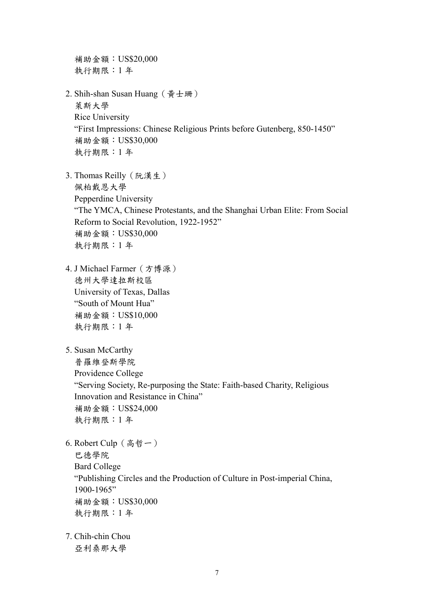補助金額:US\$20,000 執行期限:1 年 2. Shih-shan Susan Huang(黃士珊) 萊斯大學 Rice University "First Impressions: Chinese Religious Prints before Gutenberg, 850-1450" 補助金額:US\$30,000 執行期限:1 年

- 3. Thomas Reilly(阮漢生) 佩柏戴恩大學 Pepperdine University "The YMCA, Chinese Protestants, and the Shanghai Urban Elite: From Social Reform to Social Revolution, 1922-1952" 補助金額:US\$30,000 執行期限:1 年
- 4. J Michael Farmer(方博源) 德州大學達拉斯校區 University of Texas, Dallas "South of Mount Hua" 補助金額:US\$10,000 執行期限:1 年
- 5. Susan McCarthy 普羅維登斯學院 Providence College "Serving Society, Re-purposing the State: Faith-based Charity, Religious Innovation and Resistance in China" 補助金額:US\$24,000 執行期限:1 年
- 6. Robert Culp(高哲一)

巴德學院 Bard College "Publishing Circles and the Production of Culture in Post-imperial China, 1900-1965" 補助金額:US\$30,000 執行期限:1 年

7. Chih-chin Chou 亞利桑那大學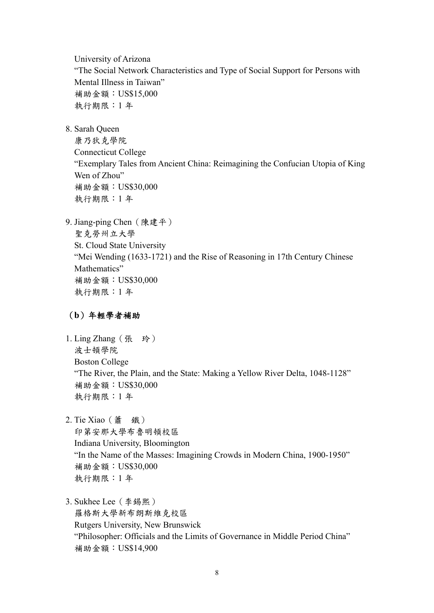University of Arizona "The Social Network Characteristics and Type of Social Support for Persons with Mental Illness in Taiwan" 補助金額:US\$15,000 執行期限:1 年

8. Sarah Queen

康乃狄克學院 Connecticut College "Exemplary Tales from Ancient China: Reimagining the Confucian Utopia of King Wen of Zhou" 補助金額:US\$30,000 執行期限:1 年

9. Jiang-ping Chen(陳建平) 聖克勞州立大學 St. Cloud State University "Mei Wending (1633-1721) and the Rise of Reasoning in 17th Century Chinese Mathematics" 補助金額:US\$30,000 執行期限:1 年

## (**b**)年輕學者補助

- 1. Ling Zhang(張 玲) 波士頓學院 Boston College "The River, the Plain, and the State: Making a Yellow River Delta, 1048-1128" 補助金額:US\$30,000 執行期限:1 年
- 2. Tie Xiao(蕭 鐵) 印第安那大學布魯明頓校區 Indiana University, Bloomington "In the Name of the Masses: Imagining Crowds in Modern China, 1900-1950"

補助金額:US\$30,000 執行期限:1 年

3. Sukhee Lee(李錫熙) 羅格斯大學新布朗斯維克校區 Rutgers University, New Brunswick "Philosopher: Officials and the Limits of Governance in Middle Period China" 補助金額:US\$14,900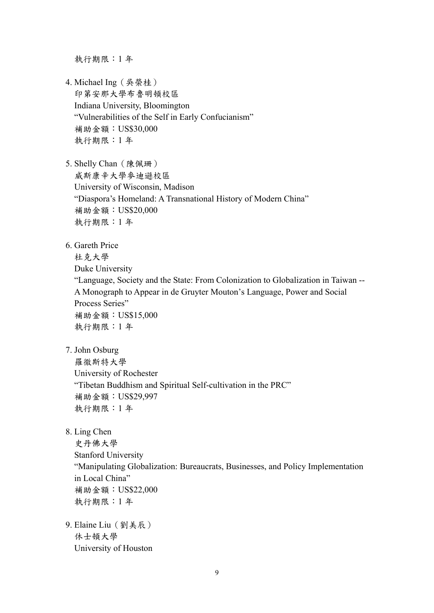執行期限:1 年

4. Michael Ing(吳榮桂) 印第安那大學布魯明頓校區 Indiana University, Bloomington "Vulnerabilities of the Self in Early Confucianism" 補助金額:US\$30,000 執行期限:1 年

5. Shelly Chan (陳佩珊) 威斯康辛大學麥迪遜校區 University of Wisconsin, Madison "Diaspora's Homeland: A Transnational History of Modern China" 補助金額:US\$20,000 執行期限:1 年

6. Gareth Price 杜克大學

Duke University "Language, Society and the State: From Colonization to Globalization in Taiwan -- A Monograph to Appear in de Gruyter Mouton's Language, Power and Social Process Series" 補助金額:US\$15,000 執行期限:1 年

7. John Osburg

羅徹斯特大學 University of Rochester "Tibetan Buddhism and Spiritual Self-cultivation in the PRC" 補助金額:US\$29,997 執行期限:1 年

8. Ling Chen

史丹佛大學 Stanford University "Manipulating Globalization: Bureaucrats, Businesses, and Policy Implementation in Local China" 補助金額:US\$22,000 執行期限:1 年

9. Elaine Liu(劉美辰) 休士頓大學 University of Houston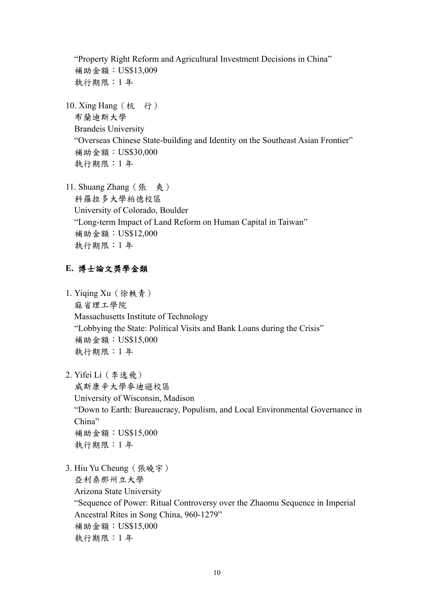"Property Right Reform and Agricultural Investment Decisions in China" 補助金額:US\$13,009 執行期限:1 年

10. Xing Hang(杭 行) 布蘭迪斯大學 Brandeis University "Overseas Chinese State-building and Identity on the Southeast Asian Frontier" 補助金額:US\$30,000 執行期限:1 年

11. Shuang Zhang(張 爽) 科羅拉多大學柏德校區 University of Colorado, Boulder "Long-term Impact of Land Reform on Human Capital in Taiwan" 補助金額:US\$12,000 執行期限:1 年

## **E.** 博士論文獎學金類

1. Yiqing Xu(徐軼青) 麻省理工學院 Massachusetts Institute of Technology "Lobbying the State: Political Visits and Bank Loans during the Crisis" 補助金額:US\$15,000 執行期限:1 年

2. Yifei Li(李逸飛)

威斯康辛大學麥迪遜校區 University of Wisconsin, Madison "Down to Earth: Bureaucracy, Populism, and Local Environmental Governance in China" 補助金額:US\$15,000 執行期限:1 年

3. Hiu Yu Cheung(張曉宇) 亞利桑那州立大學 Arizona State University "Sequence of Power: Ritual Controversy over the Zhaomu Sequence in Imperial Ancestral Rites in Song China, 960-1279" 補助金額:US\$15,000 執行期限:1 年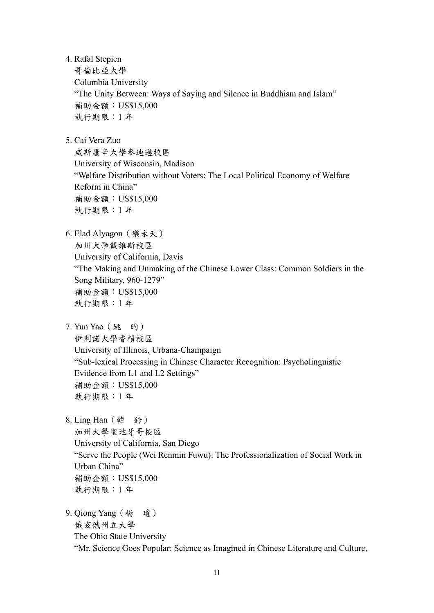4. Rafal Stepien

哥倫比亞大學 Columbia University "The Unity Between: Ways of Saying and Silence in Buddhism and Islam" 補助金額:US\$15,000 執行期限:1 年

5. Cai Vera Zuo

威斯康辛大學麥迪遜校區 University of Wisconsin, Madison "Welfare Distribution without Voters: The Local Political Economy of Welfare Reform in China" 補助金額:US\$15,000 執行期限:1 年

6. Elad Alyagon(樂永天) 加州大學戴維斯校區 University of California, Davis "The Making and Unmaking of the Chinese Lower Class: Common Soldiers in the Song Military, 960-1279" 補助金額:US\$15,000 執行期限:1 年

7. Yun Yao(姚 昀)

伊利諾大學香檳校區 University of Illinois, Urbana-Champaign "Sub-lexical Processing in Chinese Character Recognition: Psycholinguistic Evidence from L1 and L2 Settings" 補助金額:US\$15,000 執行期限:1 年

8. Ling Han(韓 鈴)

加州大學聖地牙哥校區 University of California, San Diego "Serve the People (Wei Renmin Fuwu): The Professionalization of Social Work in Urban China" 補助金額:US\$15,000 執行期限:1 年

9. Qiong Yang (楊 瓊) 俄亥俄州立大學 The Ohio State University "Mr. Science Goes Popular: Science as Imagined in Chinese Literature and Culture,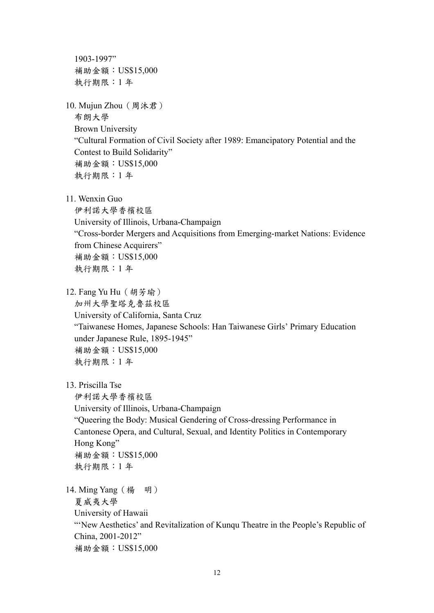1903-1997" 補助金額:US\$15,000 執行期限:1 年

10. Mujun Zhou(周沐君) 布朗大學 Brown University "Cultural Formation of Civil Society after 1989: Emancipatory Potential and the Contest to Build Solidarity" 補助金額:US\$15,000 執行期限:1 年

11. Wenxin Guo

伊利諾大學香檳校區 University of Illinois, Urbana-Champaign "Cross-border Mergers and Acquisitions from Emerging-market Nations: Evidence from Chinese Acquirers" 補助金額:US\$15,000 執行期限:1 年

12. Fang Yu Hu(胡芳瑜)

加州大學聖塔克魯茲校區 University of California, Santa Cruz "Taiwanese Homes, Japanese Schools: Han Taiwanese Girls' Primary Education under Japanese Rule, 1895-1945" 補助金額:US\$15,000 執行期限:1 年

13. Priscilla Tse

伊利諾大學香檳校區

University of Illinois, Urbana-Champaign

"Queering the Body: Musical Gendering of Cross-dressing Performance in Cantonese Opera, and Cultural, Sexual, and Identity Politics in Contemporary Hong Kong" 補助金額:US\$15,000

執行期限:1 年

14. Ming Yang (楊 明) 夏威夷大學 University of Hawaii "'New Aesthetics' and Revitalization of Kunqu Theatre in the People's Republic of China, 2001-2012" 補助金額:US\$15,000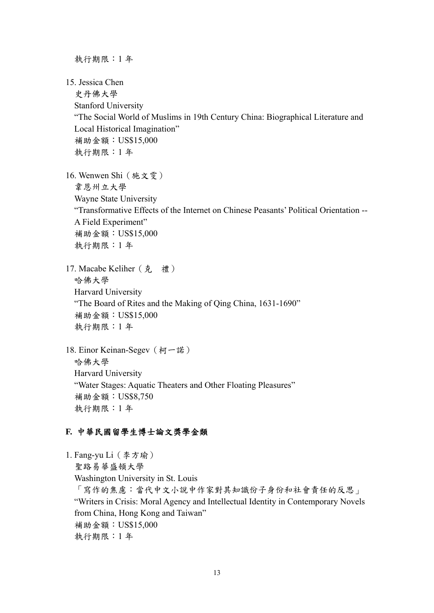執行期限:1 年

15. Jessica Chen 史丹佛大學 Stanford University "The Social World of Muslims in 19th Century China: Biographical Literature and Local Historical Imagination" 補助金額:US\$15,000 執行期限:1 年

16. Wenwen Shi(施文雯) 韋恩州立大學 Wayne State University "Transformative Effects of the Internet on Chinese Peasants' Political Orientation -- A Field Experiment" 補助金額:US\$15,000 執行期限:1 年

17. Macabe Keliher (克 禮) 哈佛大學 Harvard University "The Board of Rites and the Making of Qing China, 1631-1690" 補助金額:US\$15,000 執行期限:1 年

18. Einor Keinan-Segev (柯一諾) 哈佛大學 Harvard University "Water Stages: Aquatic Theaters and Other Floating Pleasures" 補助金額:US\$8,750 執行期限:1 年

### **F.** 中華民國留學生博士論文獎學金類

1. Fang-yu Li(李方瑜) 聖路易華盛頓大學 Washington University in St. Louis 「寫作的焦慮:當代中文小說中作家對其知識份子身份和社會責任的反思」 "Writers in Crisis: Moral Agency and Intellectual Identity in Contemporary Novels from China, Hong Kong and Taiwan" 補助金額:US\$15,000 執行期限:1 年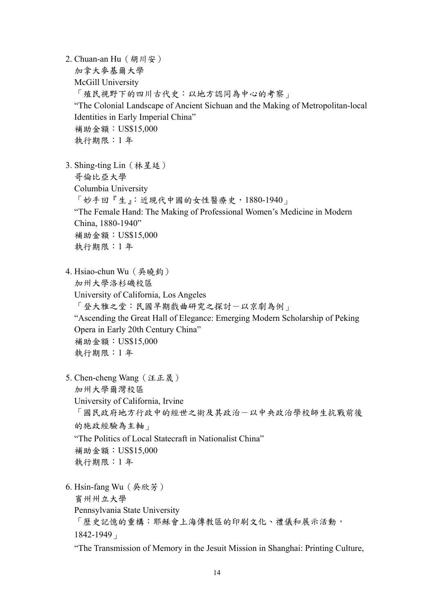2. Chuan-an Hu (胡川安) 加拿大麥基爾大學 McGill University 「殖民視野下的四川古代史:以地方認同為中心的考察」 "The Colonial Landscape of Ancient Sichuan and the Making of Metropolitan-local Identities in Early Imperial China" 補助金額:US\$15,000 執行期限:1 年

3. Shing-ting Lin(林星廷) 哥倫比亞大學 Columbia University 「妙手回『生』:近現代中國的女性醫療史,1880-1940」 "The Female Hand: The Making of Professional Women's Medicine in Modern China, 1880-1940" 補助金額:US\$15,000 執行期限:1 年

- 4. Hsiao-chun Wu(吳曉鈞) 加州大學洛杉磯校區 University of California, Los Angeles 「登大雅之堂:民國早期戲曲研究之探討-以京劇為例」 "Ascending the Great Hall of Elegance: Emerging Modern Scholarship of Peking Opera in Early 20th Century China" 補助金額:US\$15,000 執行期限:1 年
- 5. Chen-cheng Wang(汪正晟) 加州大學爾灣校區 University of California, Irvine 「國民政府地方行政中的經世之術及其政治-以中央政治學校師生抗戰前後 的施政經驗為主軸」 "The Politics of Local Statecraft in Nationalist China" 補助金額:US\$15,000 執行期限:1 年
- 6. Hsin-fang Wu(吳欣芳)

賓州州立大學

Pennsylvania State University

「歷史記憶的重構:耶穌會上海傳教區的印刷文化、禮儀和展示活動,

1842-1949」

"The Transmission of Memory in the Jesuit Mission in Shanghai: Printing Culture,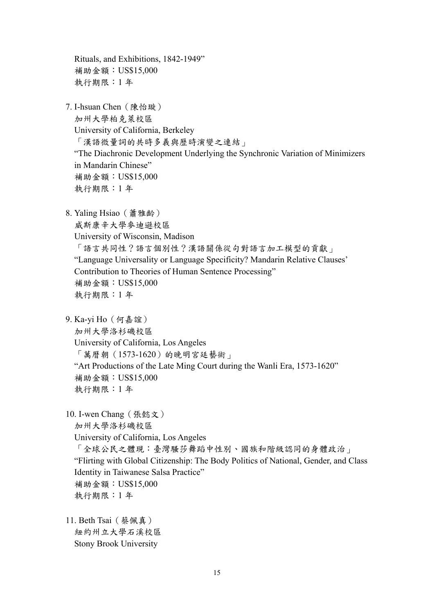Rituals, and Exhibitions, 1842-1949" 補助金額:US\$15,000 執行期限:1 年 7. I-hsuan Chen(陳怡璇) 加州大學柏克萊校區 University of California, Berkeley 「漢語微量詞的共時多義與歷時演變之連結」 "The Diachronic Development Underlying the Synchronic Variation of Minimizers in Mandarin Chinese" 補助金額:US\$15,000 執行期限:1 年 8. Yaling Hsiao(蕭雅齡) 威斯康辛大學麥迪遜校區 University of Wisconsin, Madison 「語言共同性?語言個別性?漢語關係從句對語言加工模型的貢獻」 "Language Universality or Language Specificity? Mandarin Relative Clauses' Contribution to Theories of Human Sentence Processing" 補助金額:US\$15,000 執行期限:1 年 9. Ka-yi Ho(何嘉誼) 加州大學洛杉磯校區 University of California, Los Angeles 「萬曆朝(1573-1620)的晚明宮廷藝術」 "Art Productions of the Late Ming Court during the Wanli Era, 1573-1620" 補助金額:US\$15,000 執行期限:1 年 10. I-wen Chang(張懿文) 加州大學洛杉磯校區 University of California, Los Angeles 「全球公民之體現:臺灣騷莎舞蹈中性別、國族和階級認同的身體政治」 "Flirting with Global Citizenship: The Body Politics of National, Gender, and Class Identity in Taiwanese Salsa Practice" 補助金額:US\$15,000 執行期限:1 年 11. Beth Tsai(蔡佩真) 紐約州立大學石溪校區

Stony Brook University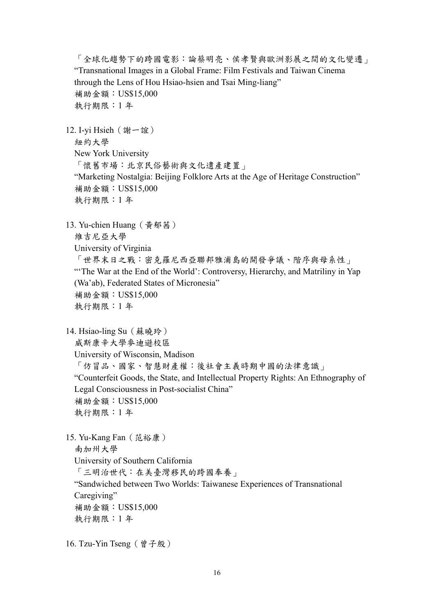「全球化趨勢下的跨國電影:論蔡明亮、侯孝賢與歐洲影展之間的文化變遷」 "Transnational Images in a Global Frame: Film Festivals and Taiwan Cinema through the Lens of Hou Hsiao-hsien and Tsai Ming-liang" 補助金額:US\$15,000 執行期限:1 年 12. I-yi Hsieh (謝一誼) 紐約大學 New York University 「懷舊市場:北京民俗藝術與文化遺產建置」 "Marketing Nostalgia: Beijing Folklore Arts at the Age of Heritage Construction" 補助金額:US\$15,000 執行期限:1 年 13. Yu-chien Huang(黃郁茜) 維吉尼亞大學 University of Virginia 「世界末日之戰:密克羅尼西亞聯邦雅浦島的開發爭議、階序與母系性」 "The War at the End of the World': Controversy, Hierarchy, and Matriliny in Yap (Wa'ab), Federated States of Micronesia" 補助金額:US\$15,000 執行期限:1 年 14. Hsiao-ling Su (蘇曉玲) 威斯康辛大學麥迪遜校區 University of Wisconsin, Madison 「仿冒品、國家、智慧財產權:後社會主義時期中國的法律意識」 "Counterfeit Goods, the State, and Intellectual Property Rights: An Ethnography of Legal Consciousness in Post-socialist China" 補助金額:US\$15,000 執行期限:1 年 15. Yu-Kang Fan(范裕康) 南加州大學 University of Southern California 「三明治世代:在美臺灣移民的跨國奉養」 "Sandwiched between Two Worlds: Taiwanese Experiences of Transnational Caregiving" 補助金額:US\$15,000 執行期限:1 年

16. Tzu-Yin Tseng(曾子殷)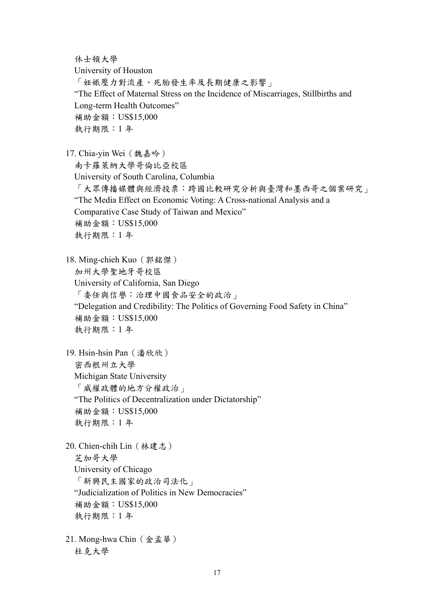休士頓大學

University of Houston

「妊娠壓力對流產、死胎發生率及長期健康之影響」 "The Effect of Maternal Stress on the Incidence of Miscarriages, Stillbirths and Long-term Health Outcomes" 補助金額:US\$15,000 執行期限:1 年

17. Chia-yin Wei(魏嘉吟)

南卡羅萊納大學哥倫比亞校區 University of South Carolina, Columbia 「大眾傳播媒體與經濟投票:跨國比較研究分析與臺灣和墨西哥之個案研究」 "The Media Effect on Economic Voting: A Cross-national Analysis and a Comparative Case Study of Taiwan and Mexico" 補助金額:US\$15,000 執行期限:1 年

18. Ming-chieh Kuo(郭銘傑)

加州大學聖地牙哥校區

University of California, San Diego

「委任與信譽:治理中國食品安全的政治」

"Delegation and Credibility: The Politics of Governing Food Safety in China" 補助金額:US\$15,000

執行期限:1 年

19. Hsin-hsin Pan(潘欣欣) 密西根州立大學 Michigan State University 「威權政體的地方分權政治」 "The Politics of Decentralization under Dictatorship" 補助金額:US\$15,000 執行期限:1 年

20. Chien-chih Lin(林建志) 芝加哥大學 University of Chicago 「新興民主國家的政治司法化」 "Judicialization of Politics in New Democracies" 補助金額:US\$15,000 執行期限:1 年

21. Mong-hwa Chin(金孟華) 杜克大學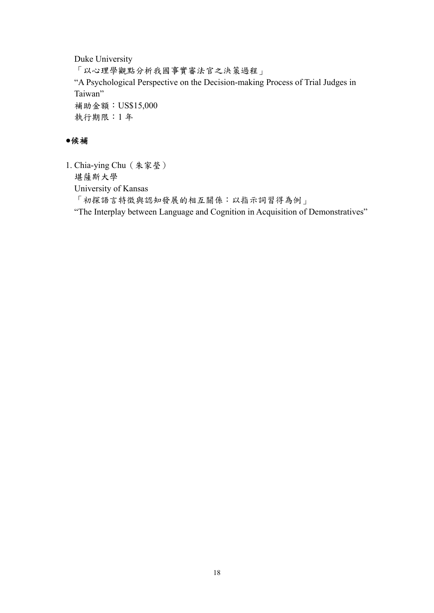Duke University

「以心理學觀點分析我國事實審法官之決策過程」 "A Psychological Perspective on the Decision-making Process of Trial Judges in Taiwan" 補助金額:US\$15,000 執行期限:1 年

# ●候補

1. Chia-ying Chu(朱家瑩) 堪薩斯大學

University of Kansas

「初探語言特徵與認知發展的相互關係:以指示詞習得為例」

"The Interplay between Language and Cognition in Acquisition of Demonstratives"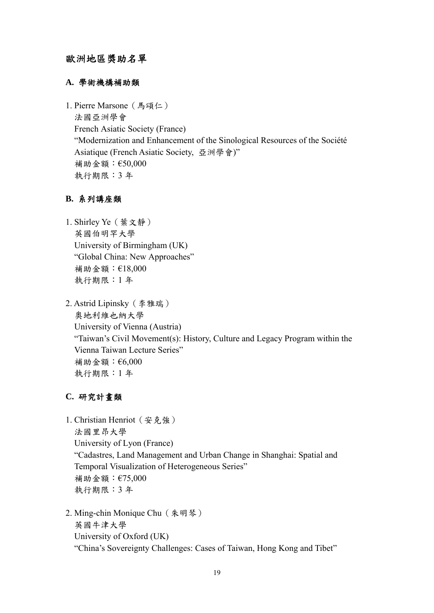# 歐洲地區獎助名單

### **A.** 學術機構補助類

1. Pierre Marsone (馬頌仁) 法國亞洲學會 French Asiatic Society (France) "Modernization and Enhancement of the Sinological Resources of the Société Asiatique (French Asiatic Society, 亞洲學會)" 補助金額:€50,000 執行期限:3 年

### **B.** 系列講座類

- 1. Shirley Ye(葉文靜) 英國伯明罕大學 University of Birmingham (UK) "Global China: New Approaches" 補助金額:€18,000 執行期限:1 年
- 2. Astrid Lipinsky(李雅瑞) 奧地利維也納大學 University of Vienna (Austria) "Taiwan's Civil Movement(s): History, Culture and Legacy Program within the Vienna Taiwan Lecture Series" 補助金額:€6,000 執行期限:1 年

## **C.** 研究計畫類

- 1. Christian Henriot(安克強) 法國里昂大學 University of Lyon (France) "Cadastres, Land Management and Urban Change in Shanghai: Spatial and Temporal Visualization of Heterogeneous Series" 補助金額:€75,000 執行期限:3 年
- 2. Ming-chin Monique Chu(朱明琴) 英國牛津大學 University of Oxford (UK) "China's Sovereignty Challenges: Cases of Taiwan, Hong Kong and Tibet"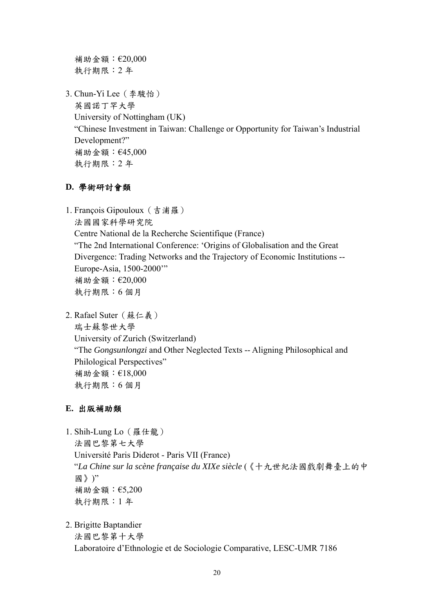補助金額:€20,000 執行期限:2 年

3. Chun-Yi Lee(李駿怡)

英國諾丁罕大學 University of Nottingham (UK) "Chinese Investment in Taiwan: Challenge or Opportunity for Taiwan's Industrial Development?" 補助金額:€45,000 執行期限:2 年

# **D.** 學術研討會類

1. François Gipouloux(吉浦羅) 法國國家科學研究院 Centre National de la Recherche Scientifique (France) "The 2nd International Conference: 'Origins of Globalisation and the Great Divergence: Trading Networks and the Trajectory of Economic Institutions -- Europe-Asia, 1500-2000'" 補助金額:€20,000 執行期限:6 個月

2. Rafael Suter(蘇仁義) 瑞士蘇黎世大學 University of Zurich (Switzerland) "The *Gongsunlongzi* and Other Neglected Texts -- Aligning Philosophical and Philological Perspectives" 補助金額:€18,000 執行期限:6 個月

## **E.** 出版補助類

1. Shih-Lung Lo(羅仕龍) 法國巴黎第七大學 Université Paris Diderot - Paris VII (France) "*La Chine sur la scène française du XIXe siècle* (《十九世紀法國戲劇舞臺上的中 國》)" 補助金額:€5,200 執行期限:1 年

2. Brigitte Baptandier

```
法國巴黎第十大學
```
Laboratoire d'Ethnologie et de Sociologie Comparative, LESC-UMR 7186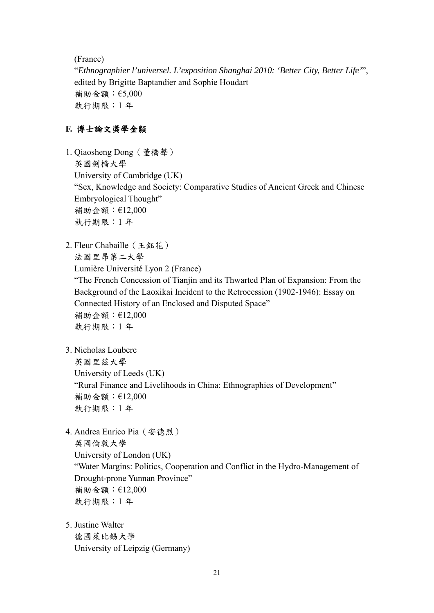(France) "*Ethnographier l'universel. L'exposition Shanghai 2010: 'Better City, Better Life'*", edited by Brigitte Baptandier and Sophie Houdart 補助金額:€5,000 執行期限:1 年

# **F.** 博士論文獎學金纇

1. Qiaosheng Dong(董橋聲) 英國劍橋大學 University of Cambridge (UK) "Sex, Knowledge and Society: Comparative Studies of Ancient Greek and Chinese Embryological Thought" 補助金額:€12,000 執行期限:1 年

2. Fleur Chabaille(王鈺花)

法國里昂第二大學

Lumière Université Lyon 2 (France)

"The French Concession of Tianjin and its Thwarted Plan of Expansion: From the Background of the Laoxikai Incident to the Retrocession (1902-1946): Essay on Connected History of an Enclosed and Disputed Space" 補助金額:€12,000

執行期限:1 年

3. Nicholas Loubere 英國里茲大學 University of Leeds (UK)

"Rural Finance and Livelihoods in China: Ethnographies of Development" 補助金額:€12,000 執行期限:1 年

- 4. Andrea Enrico Pia(安德烈) 英國倫敦大學 University of London (UK) "Water Margins: Politics, Cooperation and Conflict in the Hydro-Management of Drought-prone Yunnan Province" 補助金額:€12,000 執行期限:1 年
- 5. Justine Walter 德國萊比錫大學 University of Leipzig (Germany)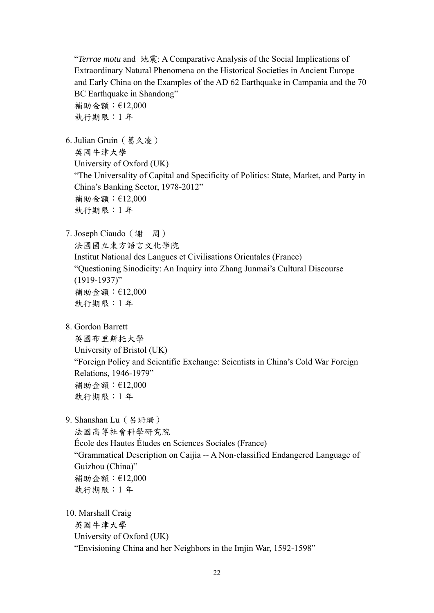"*Terrae motu* and 地震: A Comparative Analysis of the Social Implications of Extraordinary Natural Phenomena on the Historical Societies in Ancient Europe and Early China on the Examples of the AD 62 Earthquake in Campania and the 70 BC Earthquake in Shandong" 補助金額:€12,000 執行期限:1 年

6. Julian Gruin(葛久凌)

英國牛津大學 University of Oxford (UK) "The Universality of Capital and Specificity of Politics: State, Market, and Party in China's Banking Sector, 1978-2012" 補助金額:€12,000 執行期限:1 年

7. Joseph Ciaudo(謝 周)

法國國立東方語言文化學院

Institut National des Langues et Civilisations Orientales (France) "Questioning Sinodicity: An Inquiry into Zhang Junmai's Cultural Discourse

(1919-1937)" 補助金額:€12,000

執行期限:1 年

8. Gordon Barrett

英國布里斯托大學 University of Bristol (UK) "Foreign Policy and Scientific Exchange: Scientists in China's Cold War Foreign Relations, 1946-1979" 補助金額:€12,000 執行期限:1 年

9. Shanshan Lu (呂珊珊)

法國高等社會科學研究院

École des Hautes Études en Sciences Sociales (France) "Grammatical Description on Caijia -- A Non-classified Endangered Language of Guizhou (China)" 補助金額:€12,000 執行期限:1 年

10. Marshall Craig

英國牛津大學

University of Oxford (UK)

"Envisioning China and her Neighbors in the Imjin War, 1592-1598"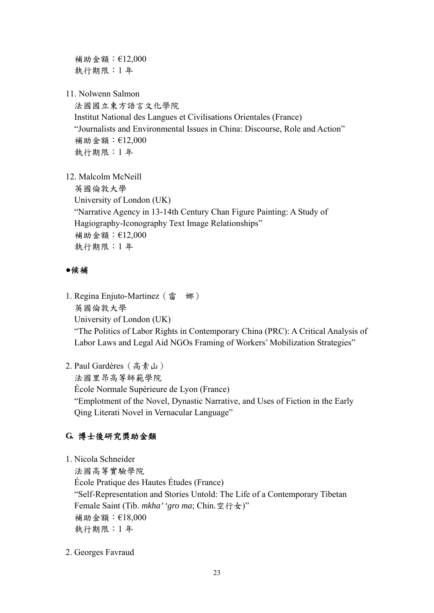補助金額:€12,000 執行期限:1 年

11. Nolwenn Salmon

法國國立東方語言文化學院 Institut National des Langues et Civilisations Orientales (France) "Journalists and Environmental Issues in China: Discourse, Role and Action" 補助金額:€12,000 執行期限:1 年

12. Malcolm McNeill

英國倫敦大學 University of London (UK) "Narrative Agency in 13-14th Century Chan Figure Painting: A Study of Hagiography-Iconography Text Image Relationships" 補助金額:€12,000 執行期限:1 年

## ●候補

- 1. Regina Enjuto-Martinez(雷 娜) 英國倫敦大學 University of London (UK) "The Politics of Labor Rights in Contemporary China (PRC): A Critical Analysis of Labor Laws and Legal Aid NGOs Framing of Workers' Mobilization Strategies"
- 2. Paul Gardères(高素山) 法國里昂高等師範學院 École Normale Supérieure de Lyon (France) "Emplotment of the Novel, Dynastic Narrative, and Uses of Fiction in the Early Qing Literati Novel in Vernacular Language"

# **G.** 博士後研究獎助金類

1. Nicola Schneider

法國高等實驗學院 École Pratique des Hautes Études (France) "Self-Representation and Stories Untold: The Life of a Contemporary Tibetan Female Saint (Tib. *mkha' 'gro ma*; Chin.空行女)" 補助金額:€18,000 執行期限:1 年

2. Georges Favraud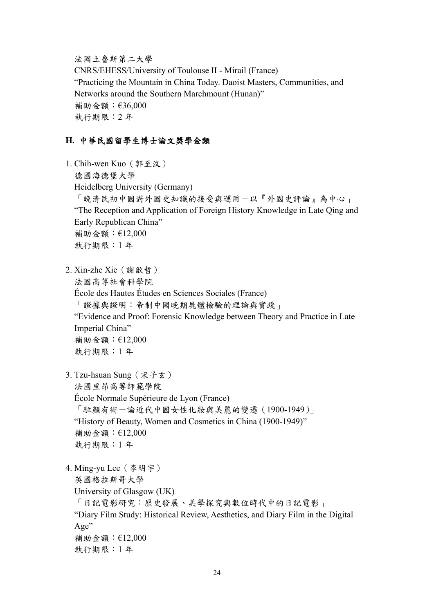法國土魯斯第二大學

CNRS/EHESS/University of Toulouse II - Mirail (France) "Practicing the Mountain in China Today. Daoist Masters, Communities, and Networks around the Southern Marchmount (Hunan)" 補助金額:€36,000 執行期限:2 年

# **H.** 中華民國留學生博士論文獎學金類

1. Chih-wen Kuo(郭至汶) 德國海德堡大學 Heidelberg University (Germany) 「晚清民初中國對外國史知識的接受與運用一以『外國史評論』為中心」 "The Reception and Application of Foreign History Knowledge in Late Qing and Early Republican China" 補助金額:€12,000 執行期限:1 年

2. Xin-zhe Xie(謝歆哲)

法國高等社會科學院

École des Hautes Études en Sciences Sociales (France)

「證據與證明:帝制中國晚期屍體檢驗的理論與實踐」

"Evidence and Proof: Forensic Knowledge between Theory and Practice in Late Imperial China"

補助金額:€12,000 執行期限:1 年

3. Tzu-hsuan Sung(宋子玄) 法國里昂高等師範學院

École Normale Supérieure de Lyon (France)

「駐顏有術-論近代中國女性化妝與美麗的變遷(1900-1949)」 "History of Beauty, Women and Cosmetics in China (1900-1949)" 補助金額:€12,000

執行期限:1 年

4. Ming-yu Lee(李明宇) 英國格拉斯哥大學 University of Glasgow (UK) 「日記電影研究:歷史發展、美學探究與數位時代中的日記電影」 "Diary Film Study: Historical Review, Aesthetics, and Diary Film in the Digital Age" 補助金額:€12,000 執行期限:1 年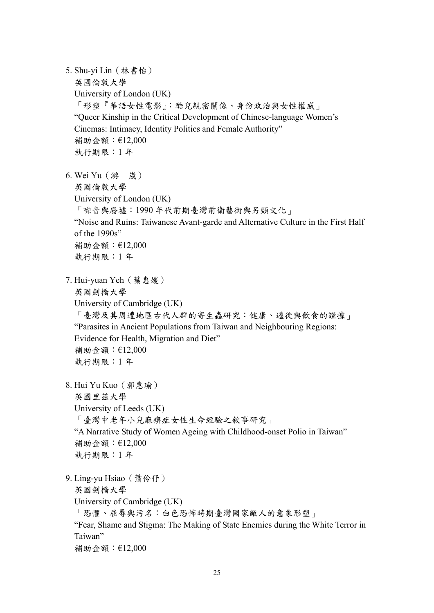5. Shu-yi Lin(林書怡)

英國倫敦大學 University of London (UK) 「形塑『華語女性電影』:酷兒親密關係、身份政治與女性權威」 "Queer Kinship in the Critical Development of Chinese-language Women's Cinemas: Intimacy, Identity Politics and Female Authority" 補助金額:€12,000 執行期限:1 年

6. Wei Yu(游 崴)

英國倫敦大學

University of London (UK)

「噪音與廢墟:1990 年代前期臺灣前衛藝術與另類文化」

"Noise and Ruins: Taiwanese Avant-garde and Alternative Culture in the First Half of the 1990s"

補助金額:€12,000 執行期限:1 年

7. Hui-yuan Yeh(葉惠媛)

英國劍橋大學

University of Cambridge (UK)

「臺灣及其周遭地區古代人群的寄生蟲研究:健康、遷徙與飲食的證據」 "Parasites in Ancient Populations from Taiwan and Neighbouring Regions: Evidence for Health, Migration and Diet" 補助金額:€12,000

執行期限:1 年

8. Hui Yu Kuo(郭惠瑜) 英國里茲大學

University of Leeds (UK)

「臺灣中老年小兒麻痹症女性生命經驗之敘事研究」 "A Narrative Study of Women Ageing with Childhood-onset Polio in Taiwan" 補助金額:€12,000 執行期限:1 年

9. Ling-yu Hsiao(蕭伶伃)

英國劍橋大學

University of Cambridge (UK)

「恐懼、屈辱與污名:白色恐怖時期臺灣國家敵人的意象形塑」

"Fear, Shame and Stigma: The Making of State Enemies during the White Terror in Taiwan" 補助金額:€12,000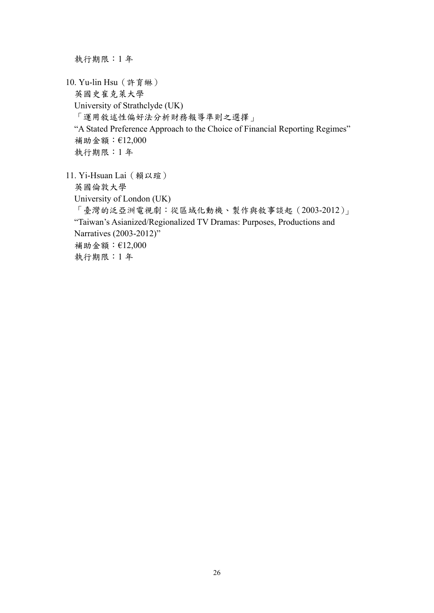執行期限:1 年

10. Yu-lin Hsu(許育綝)

英國史崔克萊大學 University of Strathclyde (UK) 「運用敘述性偏好法分析財務報導準則之選擇」 "A Stated Preference Approach to the Choice of Financial Reporting Regimes" 補助金額:€12,000 執行期限:1 年

11. Yi-Hsuan Lai(賴以瑄)

英國倫敦大學

University of London (UK)

「臺灣的泛亞洲電視劇:從區域化動機、製作與敘事談起(2003-2012)」 "Taiwan's Asianized/Regionalized TV Dramas: Purposes, Productions and

Narratives (2003-2012)" 補助金額:€12,000

執行期限:1 年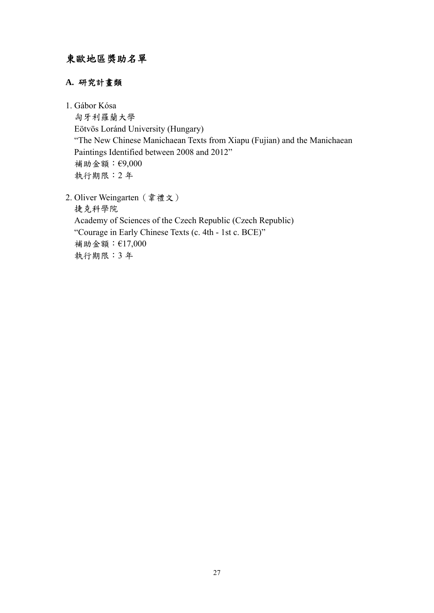# **A.** 研究計畫類

1. Gábor Kósa

匈牙利羅蘭大學 Eötvös Loránd University (Hungary) "The New Chinese Manichaean Texts from Xiapu (Fujian) and the Manichaean Paintings Identified between 2008 and 2012" 補助金額:€9,000 執行期限:2 年

2. Oliver Weingarten (韋禮文) 捷克科學院 Academy of Sciences of the Czech Republic (Czech Republic) "Courage in Early Chinese Texts (c. 4th - 1st c. BCE)" 補助金額:€17,000 執行期限:3 年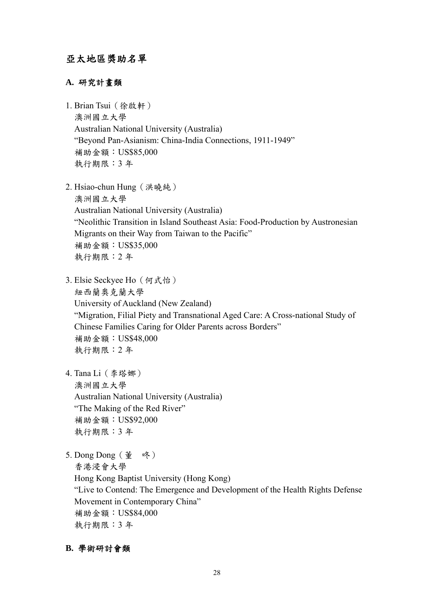### **A.** 研究計畫類

- 1. Brian Tsui(徐啟軒) 澳洲國立大學 Australian National University (Australia) "Beyond Pan-Asianism: China-India Connections, 1911-1949" 補助金額:US\$85,000 執行期限:3 年
- 2. Hsiao-chun Hung(洪曉純) 澳洲國立大學 Australian National University (Australia) "Neolithic Transition in Island Southeast Asia: Food-Production by Austronesian Migrants on their Way from Taiwan to the Pacific" 補助金額:US\$35,000 執行期限:2 年
- 3. Elsie Seckyee Ho(何式怡) 紐西蘭奧克蘭大學 University of Auckland (New Zealand) "Migration, Filial Piety and Transnational Aged Care: A Cross-national Study of Chinese Families Caring for Older Parents across Borders" 補助金額:US\$48,000 執行期限:2 年
- 4. Tana Li(李塔娜)

澳洲國立大學 Australian National University (Australia) "The Making of the Red River" 補助金額:US\$92,000 執行期限:3 年

5. Dong Dong(董 咚) 香港浸會大學 Hong Kong Baptist University (Hong Kong) "Live to Contend: The Emergence and Development of the Health Rights Defense Movement in Contemporary China" 補助金額:US\$84,000 執行期限:3 年

### **B.** 學術研討會類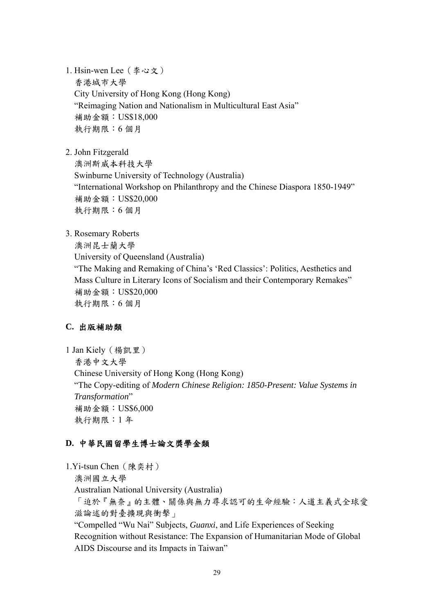1. Hsin-wen Lee(李心文)

香港城市大學 City University of Hong Kong (Hong Kong) "Reimaging Nation and Nationalism in Multicultural East Asia" 補助金額:US\$18,000 執行期限:6 個月

2. John Fitzgerald

澳洲斯威本科技大學 Swinburne University of Technology (Australia) "International Workshop on Philanthropy and the Chinese Diaspora 1850-1949" 補助金額:US\$20,000 執行期限:6 個月

3. Rosemary Roberts

澳洲昆士蘭大學 University of Queensland (Australia) "The Making and Remaking of China's 'Red Classics': Politics, Aesthetics and Mass Culture in Literary Icons of Socialism and their Contemporary Remakes" 補助金額:US\$20,000 執行期限:6 個月

## **C.** 出版補助類

1 Jan Kiely(楊凱里)

香港中文大學

Chinese University of Hong Kong (Hong Kong) "The Copy-editing of *Modern Chinese Religion: 1850-Present: Value Systems in Transformation*" 補助金額:US\$6,000 執行期限:1 年

# **D.** 中華民國留學生博士論文獎學金類

1.Yi-tsun Chen(陳奕村)

澳洲國立大學

Australian National University (Australia)

「迫於『無奈』的主體、關係與無力尋求認可的生命經驗:人道主義式全球愛 滋論述的對臺擴現與衝擊」

"Compelled "Wu Nai" Subjects, *Guanxi*, and Life Experiences of Seeking Recognition without Resistance: The Expansion of Humanitarian Mode of Global AIDS Discourse and its Impacts in Taiwan"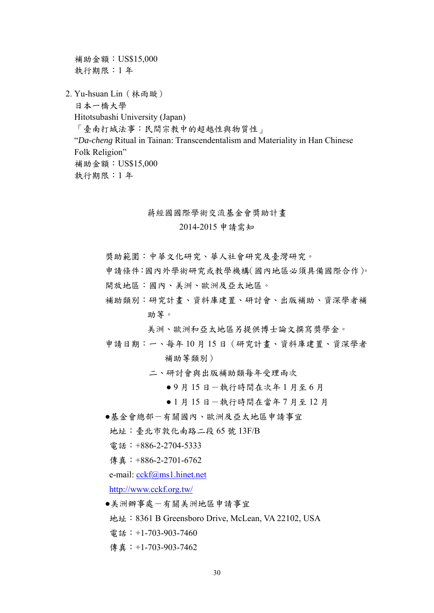補助金額:US\$15,000 執行期限:1 年 2. Yu-hsuan Lin(林雨璇) 日本一橋大學 Hitotsubashi University (Japan) 「臺南打城法事:民間宗教中的超越性與物質性」 "*Da-cheng* Ritual in Tainan: Transcendentalism and Materiality in Han Chinese Folk Religion" 補助金額:US\$15,000

執行期限:1 年

蔣經國國際學術交流基金會獎助計畫

2014-2015 申請需知

獎助範圍:中華文化研究、華人社會研究及臺灣研究。

申請條件:國內外學術研究或教學機構(國內地區必須具備國際合作)。 開放地區:國內、美洲、歐洲及亞太地區。

補助類別:研究計畫、資料庫建置、研討會、出版補助、資深學者補 助等。

美洲、歐洲和亞太地區另提供博士論文撰寫獎學金。

- 申請日期:一、每年 10 月 15 日(研究計畫、資料庫建置、資深學者 補助等類別)
	- 二、研討會與出版補助類每年受理兩次
		- 9 月 15 日 一執行時間在次年 1 月至 6 月
		- 1 月 15 日 一執行時間在當年 7 月至 12 月
- ●基金會總部-有關國內、歐洲及亞太地區申請事宜

地址:臺北市敦化南路二段 65 號 13F/B

- 電話:+886-2-2704-5333
- 傳真: +886-2-2701-6762

e-mail: [cckf@ms1.hinet.net](mailto:cckf@ms1.hinet.net)

http://www.cckf.org.tw/

●美洲辦事處-有關美洲地區申請事宜

地址:8361 B Greensboro Drive, McLean, VA 22102, USA

雷話: +1-703-903-7460

傳真:+1-703-903-7462